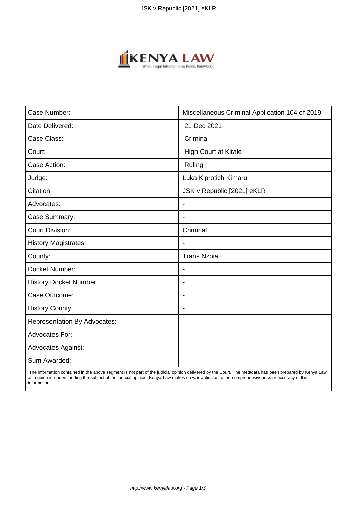

| Case Number:                        | Miscellaneous Criminal Application 104 of 2019 |
|-------------------------------------|------------------------------------------------|
| Date Delivered:                     | 21 Dec 2021                                    |
| Case Class:                         | Criminal                                       |
| Court:                              | <b>High Court at Kitale</b>                    |
| Case Action:                        | Ruling                                         |
| Judge:                              | Luka Kiprotich Kimaru                          |
| Citation:                           | JSK v Republic [2021] eKLR                     |
| Advocates:                          | $\overline{\phantom{a}}$                       |
| Case Summary:                       | $\overline{\phantom{a}}$                       |
| <b>Court Division:</b>              | Criminal                                       |
| <b>History Magistrates:</b>         |                                                |
| County:                             | <b>Trans Nzoia</b>                             |
| Docket Number:                      |                                                |
| <b>History Docket Number:</b>       | $\overline{\phantom{a}}$                       |
| Case Outcome:                       | $\overline{\phantom{a}}$                       |
| <b>History County:</b>              | $\overline{\phantom{a}}$                       |
| <b>Representation By Advocates:</b> | $\blacksquare$                                 |
| Advocates For:                      | $\blacksquare$                                 |
| <b>Advocates Against:</b>           |                                                |
| Sum Awarded:                        |                                                |

 The information contained in the above segment is not part of the judicial opinion delivered by the Court. The metadata has been prepared by Kenya Law as a guide in understanding the subject of the judicial opinion. Kenya Law makes no warranties as to the comprehensiveness or accuracy of the information.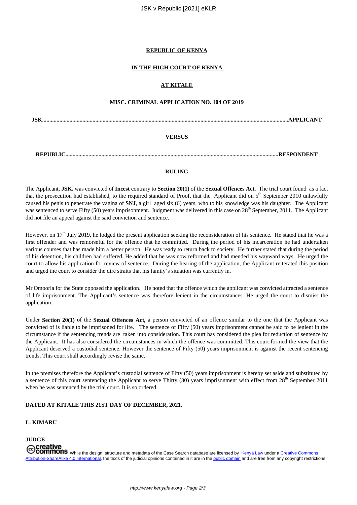## **REPUBLIC OF KENYA**

## **IN THE HIGH COURT OF KENYA**

## **AT KITALE**

# **MISC. CRIMINAL APPLICATION NO. 104 OF 2019**

**JSK...........................................................................................................................................................................APPLICANT**

## **VERSUS**

**REPUBLIC....................................................................................................................................................RESPONDENT**

#### **RULING**

The Applicant, **JSK,** was convicted of **Incest** contrary to **Section 20(1)** of the **Sexual Offences Act.** The trial court found as a fact that the prosecution had established, to the required standard of Proof, that the Applicant did on  $5<sup>th</sup>$  September 2010 unlawfully caused his penis to penetrate the vagina of **SNJ**, a girl aged six (6) years, who to his knowledge was his daughter. The Applicant was sentenced to serve Fifty (50) years imprisonment. Judgment was delivered in this case on 28<sup>th</sup> September, 2011. The Applicant did not file an appeal against the said conviction and sentence.

However, on 17<sup>th</sup> July 2019, he lodged the present application seeking the reconsideration of his sentence. He stated that he was a first offender and was remorseful for the offence that he committed. During the period of his incarceration he had undertaken various courses that has made him a better person. He was ready to return back to society. He further stated that during the period of his detention, his children had suffered. He added that he was now reformed and had mended his wayward ways. He urged the court to allow his application for review of sentence. During the hearing of the application, the Applicant reiterated this position and urged the court to consider the dire straits that his family's situation was currently in.

Mr Omooria for the State opposed the application. He noted that the offence which the applicant was convicted attracted a sentence of life imprisonment. The Applicant's sentence was therefore lenient in the circumstances. He urged the court to dismiss the application.

Under **Section 20(1)** of the **Sexual Offences Act,** a person convicted of an offence similar to the one that the Applicant was convicted of is liable to be imprisoned for life. The sentence of Fifty (50) years imprisonment cannot be said to be lenient in the circumstance if the sentencing trends are taken into consideration. This court has considered the plea for reduction of sentence by the Applicant. It has also considered the circumstances in which the offence was committed. This court formed the view that the Applicant deserved a custodial sentence. However the sentence of Fifty (50) years imprisonment is against the recent sentencing trends. This court shall accordingly revise the same.

In the premises therefore the Applicant's custodial sentence of Fifty (50) years imprisonment is hereby set aside and substituted by a sentence of this court sentencing the Applicant to serve Thirty (30) years imprisonment with effect from  $28<sup>th</sup>$  September 2011 when he was sentenced by the trial court. It is so ordered.

#### **DATED AT KITALE THIS 21ST DAY OF DECEMBER, 2021.**

#### **L. KIMARU**

**JUDGE**

**COMMONS** While the design, structure and metadata of the Case Search database are licensed by Kenya Law under a Creative Commons Attribution-ShareAlike 4.0 International, the texts of the judicial opinions contained in it are in the public domain and are free from any copyright restrictions.